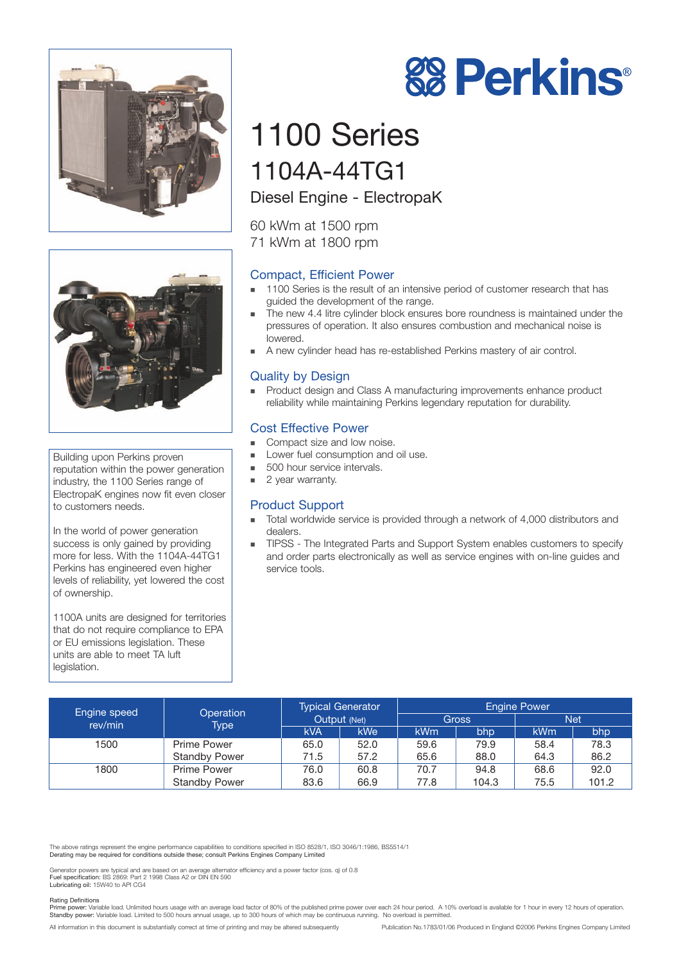



Building upon Perkins proven reputation within the power generation industry, the 1100 Series range of ElectropaK engines now fit even closer to customers needs.

In the world of power generation success is only gained by providing more for less. With the 1104A-44TG1 Perkins has engineered even higher levels of reliability, yet lowered the cost of ownership.

1100A units are designed for territories that do not require compliance to EPA or EU emissions legislation. These units are able to meet TA luft legislation.

# 1100 Series 1104A-44TG1

## Diesel Engine - ElectropaK

60 kWm at 1500 rpm 71 kWm at 1800 rpm

## Compact, Efficient Power

- **1100 Series is the result of an intensive period of customer research that has** guided the development of the range.
- **The new 4.4 litre cylinder block ensures bore roundness is maintained under the** pressures of operation. It also ensures combustion and mechanical noise is lowered.
- ! A new cylinder head has re-established Perkins mastery of air control.

### Quality by Design

! Product design and Class A manufacturing improvements enhance product reliability while maintaining Perkins legendary reputation for durability.

#### Cost Effective Power

- Compact size and low noise.
- Lower fuel consumption and oil use.
	- 500 hour service intervals.
- 2 year warranty.

#### Product Support

- ! Total worldwide service is provided through a network of 4,000 distributors and dealers.
- **TIPSS** The Integrated Parts and Support System enables customers to specify and order parts electronically as well as service engines with on-line guides and service tools.

| <b>Engine speed</b><br>rev/min | Operation<br>Type <sup>1</sup> | <b>Typical Generator</b><br>Output (Net) |                  | <b>Engine Power</b> |       |            |       |
|--------------------------------|--------------------------------|------------------------------------------|------------------|---------------------|-------|------------|-------|
|                                |                                |                                          |                  | Gross               |       | <b>Net</b> |       |
|                                |                                | <b>kVA</b>                               | kWe <sup>1</sup> | kWm                 | bhp   | <b>kWm</b> | bhp   |
| 1500                           | Prime Power                    | 65.0                                     | 52.0             | 59.6                | 79.9  | 58.4       | 78.3  |
|                                | <b>Standby Power</b>           | 71.5                                     | 57.2             | 65.6                | 88.0  | 64.3       | 86.2  |
| 1800                           | Prime Power                    | 76.0                                     | 60.8             | 70.7                | 94.8  | 68.6       | 92.0  |
|                                | <b>Standby Power</b>           | 83.6                                     | 66.9             | 77.8                | 104.3 | 75.5       | 101.2 |

The above ratings represent the engine performance capabilities to conditions specified in ISO 8528/1, ISO 3046/1:1986, BS5514/1 Derating may be required for conditions outside these; consult Perkins Engines Company Limited

Generator powers are typical and are based on an average alternator efficiency and a power factor (cos. q) of 0.8 Fuel specification: BS 2869: Part 2 1998 Class A2 or DIN EN 590 Lubricating oil: 15W40 to API CG4

#### Rating Definitions

numble bower: Variable load. Unlimited hours usage with an average load factor of 80% of the published prime power over each 24 hour period. A 10% overload is available for 1 hour in every 12 hours of operation. Standby power: Variable load. Limited to 500 hours annual usage, up to 300 hours of which may be continuous running. No overload is permitted.

All information in this document is substantially correct at time of printing and may be altered subsequently Publication No.1783/01/06 Produced in England ©2006 Perkins Engines Company Limited